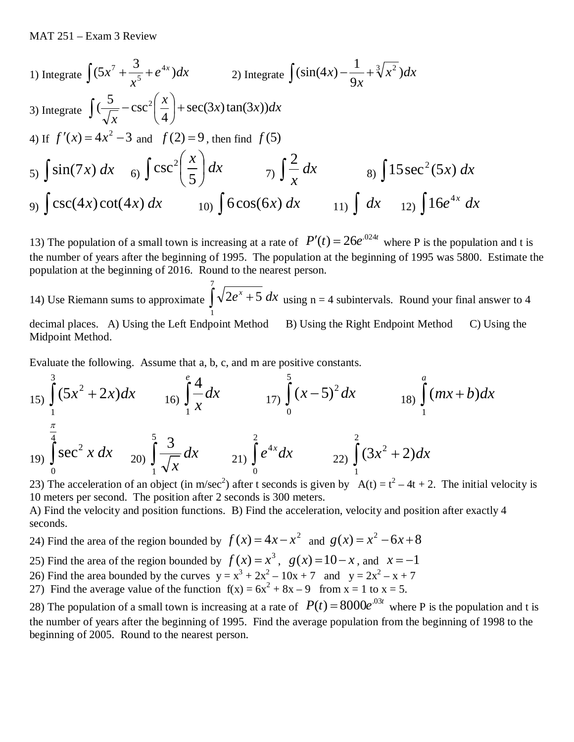1) Integrate 
$$
\int (5x^7 + \frac{3}{x^5} + e^{4x})dx
$$
  
\n2) Integrate  $\int (\sin(4x) - \frac{1}{9x} + \sqrt[3]{x^2})dx$   
\n3) Integrate  $\int (\frac{5}{\sqrt{x}} - \csc^2(\frac{x}{4}) + \sec(3x)\tan(3x))dx$   
\n4) If  $f'(x) = 4x^2 - 3$  and  $f(2) = 9$ , then find  $f(5)$   
\n5)  $\int \sin(7x) dx$  6)  $\int \csc^2(\frac{x}{5}) dx$  7)  $\int \frac{2}{x} dx$  8)  $\int 15 \sec^2(5x) dx$   
\n9)  $\int \csc(4x) \cot(4x) dx$  10)  $\int 6 \cos(6x) dx$  11)  $\int dx$  12)  $\int 16e^{4x} dx$ 

13) The population of a small town is increasing at a rate of  $P'(t) = 26e^{0.024t}$  where P is the population and t is the number of years after the beginning of 1995. The population at the beginning of 1995 was 5800. Estimate the population at the beginning of 2016. Round to the nearest person.

14) Use Riemann sums to approximate  $\int \sqrt{2}e^{x} +$ 7 1  $2e^{x} + 5 dx$  using n = 4 subintervals. Round your final answer to 4 decimal places. A) Using the Left Endpoint Method B) Using the Right Endpoint Method C) Using the Midpoint Method.

Evaluate the following. Assume that a, b, c, and m are positive constants.

$$
\int_{15}^{3} (5x^{2} + 2x) dx
$$
\n
$$
\int_{16}^{2} \int_{1}^{4} \frac{4}{x} dx
$$
\n
$$
\int_{0}^{5} (x-5)^{2} dx
$$
\n
$$
\int_{18}^{4} (mx+b) dx
$$
\n
$$
\int_{19}^{4} \int_{0}^{4} \sec^{2} x dx
$$
\n
$$
\int_{20}^{5} \int_{1}^{3} \frac{3}{\sqrt{x}} dx
$$
\n
$$
\int_{21}^{2} \int_{0}^{2} e^{4x} dx
$$
\n
$$
\int_{22}^{2} \int_{1}^{2} (3x^{2} + 2) dx
$$

23) The acceleration of an object (in m/sec<sup>2</sup>) after t seconds is given by  $A(t) = t^2 - 4t + 2$ . The initial velocity is 10 meters per second. The position after 2 seconds is 300 meters.

A) Find the velocity and position functions. B) Find the acceleration, velocity and position after exactly 4 seconds.

24) Find the area of the region bounded by  $f(x) = 4x - x^2$  and  $g(x) = x^2 - 6x + 8$ 

25) Find the area of the region bounded by  $f(x) = x^3$ ,  $g(x) = 10 - x$ , and  $x = -1$ 

26) Find the area bounded by the curves  $y = x^3 + 2x^2 - 10x + 7$  and  $y = 2x^2 - x + 7$ 

27) Find the average value of the function  $f(x) = 6x^2 + 8x - 9$  from  $x = 1$  to  $x = 5$ .

28) The population of a small town is increasing at a rate of  $P(t) = 8000e^{0.03t}$  where P is the population and t is the number of years after the beginning of 1995. Find the average population from the beginning of 1998 to the beginning of 2005. Round to the nearest person.